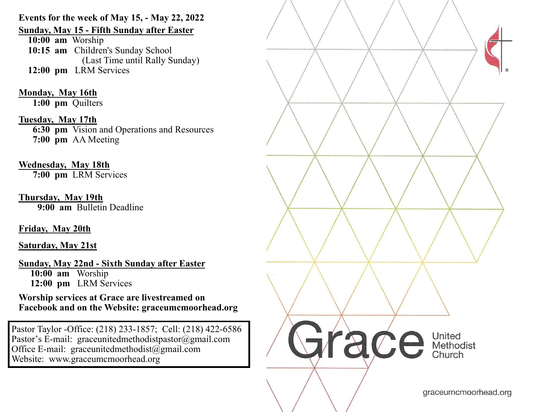**Events for the week of May 15, - May 22, 2022** 

**Sunday, May 15 - Fifth Sunday after Easter** 

**10:00 am** Worship **10:15 am** Children's Sunday School (Last Time until Rally Sunday) **12:00 pm** LRM Services

**Monday, May 16th**  1:00 pm Quilters

**Tuesday, May 17th 6:30 pm** Vision and Operations and Resources **7:00 pm** AA Meeting

**Wednesday, May 18th 7:00 pm** LRM Services

**Thursday, May 19th 9:00 am** Bulletin Deadline

**Friday, May 20th** 

**Saturday, May 21st** 

**Sunday, May 22nd - Sixth Sunday after Easter 10:00 am** Worship **12:00 pm** LRM Services

**Worship services at Grace are livestreamed on Facebook and on the Website: graceumcmoorhead.org** 

Pastor Taylor -Office: (218) 233-1857; Cell: (218) 422-6586 Pastor's E-mail: graceunitedmethodistpastor@gmail.com Office E-mail: graceunitedmethodist@gmail.com Website: www.graceumcmoorhead.org